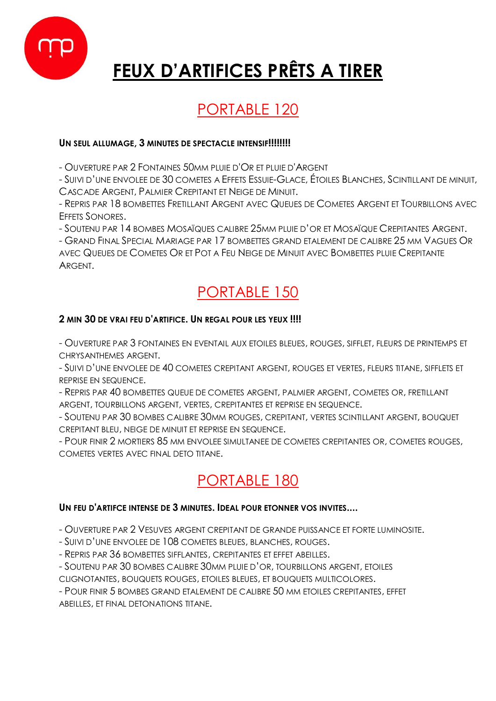

# **FEUX D'ARTIFICES PRÊTS A TIRER**

# PORTABLE 120

#### **UN SEUL ALLUMAGE, 3 MINUTES DE SPECTACLE INTENSIF!!!!!!!!**

- OUVERTURE PAR 2 FONTAINES 50MM PLUIE D'OR ET PLUIE D'ARGENT

- SUIVI D'UNE ENVOLEE DE 30 COMETES A EFFETS ESSUIE-GLACE, ÉTOILES BLANCHES, SCINTILLANT DE MINUIT, CASCADE ARGENT, PALMIER CREPITANT ET NEIGE DE MINUIT.

- REPRIS PAR 18 BOMBETTES FRETILLANT ARGENT AVEC QUEUES DE COMETES ARGENT ET TOURBILLONS AVEC EFFETS SONORES.

- SOUTENU PAR 14 BOMBES MOSAÏQUES CALIBRE 25MM PLUIE D'OR ET MOSAÏQUE CREPITANTES ARGENT.

- GRAND FINAL SPECIAL MARIAGE PAR 17 BOMBETTES GRAND ETALEMENT DE CALIBRE 25 MM VAGUES OR AVEC QUEUES DE COMETES OR ET POT A FEU NEIGE DE MINUIT AVEC BOMBETTES PLUIE CREPITANTE ARGENT.

# PORTABLE 150

#### **2 MIN 30 DE VRAI FEU D'ARTIFICE. UN REGAL POUR LES YEUX !!!!**

- OUVERTURE PAR 3 FONTAINES EN EVENTAIL AUX ETOILES BLEUES, ROUGES, SIFFLET, FLEURS DE PRINTEMPS ET CHRYSANTHEMES ARGENT.

- SUIVI D'UNE ENVOLEE DE 40 COMETES CREPITANT ARGENT, ROUGES ET VERTES, FLEURS TITANE, SIFFLETS ET REPRISE EN SEQUENCE.

- REPRIS PAR 40 BOMBETTES QUEUE DE COMETES ARGENT, PALMIER ARGENT, COMETES OR, FRETILLANT ARGENT, TOURBILLONS ARGENT, VERTES, CREPITANTES ET REPRISE EN SEQUENCE.

- SOUTENU PAR 30 BOMBES CALIBRE 30MM ROUGES, CREPITANT, VERTES SCINTILLANT ARGENT, BOUQUET CREPITANT BLEU, NEIGE DE MINUIT ET REPRISE EN SEQUENCE.

- POUR FINIR 2 MORTIERS 85 MM ENVOLEE SIMULTANEE DE COMETES CREPITANTES OR, COMETES ROUGES, COMETES VERTES AVEC FINAL DETO TITANE.

# PORTABLE 180

#### **UN FEU D'ARTIFCE INTENSE DE 3 MINUTES. IDEAL POUR ETONNER VOS INVITES....**

- OUVERTURE PAR 2 VESUVES ARGENT CREPITANT DE GRANDE PUISSANCE ET FORTE LUMINOSITE.

- SUIVI D'UNE ENVOLEE DE 108 COMETES BLEUES, BLANCHES, ROUGES.

- REPRIS PAR 36 BOMBETTES SIFFLANTES, CREPITANTES ET EFFET ABEILLES.

- SOUTENU PAR 30 BOMBES CALIBRE 30MM PLUIE D'OR, TOURBILLONS ARGENT, ETOILES

CLIGNOTANTES, BOUQUETS ROUGES, ETOILES BLEUES, ET BOUQUETS MULTICOLORES.

- POUR FINIR 5 BOMBES GRAND ETALEMENT DE CALIBRE 50 MM ETOILES CREPITANTES, EFFET ABEILLES, ET FINAL DETONATIONS TITANE.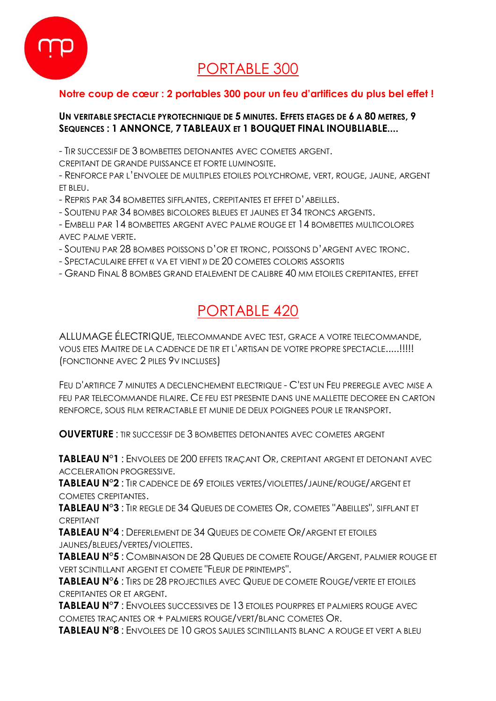

# PORTABLE 300

#### **Notre coup de cœur : 2 portables 300 pour un feu d'artifices du plus bel effet !**

#### **UN VERITABLE SPECTACLE PYROTECHNIQUE DE 5 MINUTES. EFFETS ETAGES DE 6 A 80 METRES, 9 SEQUENCES : 1 ANNONCE, 7 TABLEAUX ET 1 BOUQUET FINAL INOUBLIABLE....**

- TIR SUCCESSIF DE 3 BOMBETTES DETONANTES AVEC COMETES ARGENT.

CREPITANT DE GRANDE PUISSANCE ET FORTE LUMINOSITE.

- RENFORCE PAR L'ENVOLEE DE MULTIPLES ETOILES POLYCHROME, VERT, ROUGE, JAUNE, ARGENT ET BLEU.

- REPRIS PAR 34 BOMBETTES SIFFLANTES, CREPITANTES ET EFFET D'ABEILLES.
- SOUTENU PAR 34 BOMBES BICOLORES BLEUES ET JAUNES ET 34 TRONCS ARGENTS.

- EMBELLI PAR 14 BOMBETTES ARGENT AVEC PALME ROUGE ET 14 BOMBETTES MULTICOLORES AVEC PALME VERTE.

- SOUTENU PAR 28 BOMBES POISSONS D'OR ET TRONC, POISSONS D'ARGENT AVEC TRONC.
- SPECTACULAIRE EFFET « VA ET VIENT » DE 20 COMETES COLORIS ASSORTIS
- GRAND FINAL 8 BOMBES GRAND ETALEMENT DE CALIBRE 40 MM ETOILES CREPITANTES, EFFET

## PORTABLE 420

ALLUMAGE ÉLECTRIQUE, TELECOMMANDE AVEC TEST, GRACE A VOTRE TELECOMMANDE, VOUS ETES MAITRE DE LA CADENCE DE TIR ET L'ARTISAN DE VOTRE PROPRE SPECTACLE.....!!!!! (FONCTIONNE AVEC 2 PILES 9V INCLUSES)

FEU D'ARTIFICE 7 MINUTES A DECLENCHEMENT ELECTRIQUE - C'EST UN FEU PREREGLE AVEC MISE A FEU PAR TELECOMMANDE FILAIRE. CE FEU EST PRESENTE DANS UNE MALLETTE DECOREE EN CARTON RENFORCE, SOUS FILM RETRACTABLE ET MUNIE DE DEUX POIGNEES POUR LE TRANSPORT.

**OUVERTURE** : TIR SUCCESSIF DE 3 BOMBETTES DETONANTES AVEC COMETES ARGENT

**TABLEAU N°1** : ENVOLEES DE 200 EFFETS TRAÇANT OR, CREPITANT ARGENT ET DETONANT AVEC ACCELERATION PROGRESSIVE.

**TABLEAU N°2** : TIR CADENCE DE 69 ETOILES VERTES/VIOLETTES/JAUNE/ROUGE/ARGENT ET COMETES CREPITANTES.

**TABLEAU N°3** : TIR REGLE DE 34 QUEUES DE COMETES OR, COMETES "ABEILLES", SIFFLANT ET CREPITANT

**TABLEAU N°4** : DEFERLEMENT DE 34 QUEUES DE COMETE OR/ARGENT ET ETOILES JAUNES/BLEUES/VERTES/VIOLETTES.

**TABLEAU N°5** : COMBINAISON DE 28 QUEUES DE COMETE ROUGE/ARGENT, PALMIER ROUGE ET VERT SCINTILLANT ARGENT ET COMETE "FLEUR DE PRINTEMPS".

**TABLEAU N°6** : TIRS DE 28 PROJECTILES AVEC QUEUE DE COMETE ROUGE/VERTE ET ETOILES CREPITANTES OR ET ARGENT.

**TABLEAU N°7** : ENVOLEES SUCCESSIVES DE 13 ETOILES POURPRES ET PALMIERS ROUGE AVEC COMETES TRAÇANTES OR + PALMIERS ROUGE/VERT/BLANC COMETES OR.

**TABLEAU N°8** : ENVOLEES DE 10 GROS SAULES SCINTILLANTS BLANC A ROUGE ET VERT A BLEU